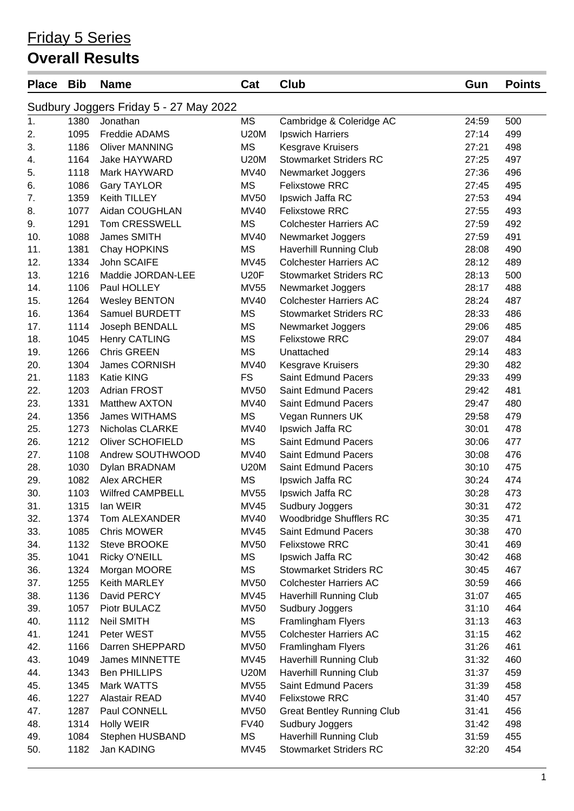#### Friday 5 Series

#### **Overall Results**

| <b>Place</b> | <b>Bib</b> | <b>Name</b>                            | Cat         | Club                                       | Gun   | <b>Points</b> |
|--------------|------------|----------------------------------------|-------------|--------------------------------------------|-------|---------------|
|              |            | Sudbury Joggers Friday 5 - 27 May 2022 |             |                                            |       |               |
| 1.           | 1380       | Jonathan                               | MS          | Cambridge & Coleridge AC                   | 24:59 | 500           |
| 2.           | 1095       | Freddie ADAMS                          | <b>U20M</b> | Ipswich Harriers                           | 27:14 | 499           |
| 3.           | 1186       | <b>Oliver MANNING</b>                  | <b>MS</b>   | <b>Kesgrave Kruisers</b>                   | 27:21 | 498           |
| 4.           | 1164       | Jake HAYWARD                           | <b>U20M</b> | <b>Stowmarket Striders RC</b>              | 27:25 | 497           |
| 5.           | 1118       | Mark HAYWARD                           | <b>MV40</b> | Newmarket Joggers                          | 27:36 | 496           |
| 6.           | 1086       | <b>Gary TAYLOR</b>                     | <b>MS</b>   | <b>Felixstowe RRC</b>                      | 27:45 | 495           |
| 7.           | 1359       | Keith TILLEY                           | <b>MV50</b> | Ipswich Jaffa RC                           | 27:53 | 494           |
| 8.           | 1077       | Aidan COUGHLAN                         | <b>MV40</b> | <b>Felixstowe RRC</b>                      | 27:55 | 493           |
| 9.           | 1291       | Tom CRESSWELL                          | <b>MS</b>   | <b>Colchester Harriers AC</b>              | 27:59 | 492           |
| 10.          | 1088       | James SMITH                            | <b>MV40</b> | Newmarket Joggers                          | 27:59 | 491           |
| 11.          | 1381       | Chay HOPKINS                           | <b>MS</b>   | Haverhill Running Club                     | 28:08 | 490           |
| 12.          | 1334       | John SCAIFE                            | <b>MV45</b> | <b>Colchester Harriers AC</b>              | 28:12 | 489           |
| 13.          | 1216       | Maddie JORDAN-LEE                      | <b>U20F</b> | <b>Stowmarket Striders RC</b>              | 28:13 | 500           |
| 14.          | 1106       | Paul HOLLEY                            | <b>MV55</b> | Newmarket Joggers                          | 28:17 | 488           |
| 15.          | 1264       | <b>Wesley BENTON</b>                   | <b>MV40</b> | <b>Colchester Harriers AC</b>              | 28:24 | 487           |
| 16.          | 1364       | Samuel BURDETT                         | <b>MS</b>   | <b>Stowmarket Striders RC</b>              | 28:33 | 486           |
| 17.          | 1114       | Joseph BENDALL                         | <b>MS</b>   | Newmarket Joggers                          | 29:06 | 485           |
| 18.          | 1045       | <b>Henry CATLING</b>                   | <b>MS</b>   | <b>Felixstowe RRC</b>                      | 29:07 | 484           |
| 19.          | 1266       | <b>Chris GREEN</b>                     | <b>MS</b>   | Unattached                                 | 29:14 | 483           |
| 20.          | 1304       | James CORNISH                          | <b>MV40</b> | <b>Kesgrave Kruisers</b>                   | 29:30 | 482           |
| 21.          | 1183       | <b>Katie KING</b>                      | <b>FS</b>   | <b>Saint Edmund Pacers</b>                 | 29:33 | 499           |
| 22.          | 1203       | <b>Adrian FROST</b>                    | <b>MV50</b> | <b>Saint Edmund Pacers</b>                 | 29:42 | 481           |
| 23.          | 1331       | Matthew AXTON                          | <b>MV40</b> | Saint Edmund Pacers                        | 29:47 | 480           |
| 24.          | 1356       | <b>James WITHAMS</b>                   | <b>MS</b>   | Vegan Runners UK                           | 29:58 | 479           |
| 25.          | 1273       | Nicholas CLARKE                        | <b>MV40</b> | Ipswich Jaffa RC                           | 30:01 | 478           |
| 26.          | 1212       | Oliver SCHOFIELD                       | <b>MS</b>   | <b>Saint Edmund Pacers</b>                 | 30:06 | 477           |
| 27.          | 1108       | Andrew SOUTHWOOD                       | <b>MV40</b> | Saint Edmund Pacers                        | 30:08 | 476           |
| 28.          | 1030       | Dylan BRADNAM                          | <b>U20M</b> | Saint Edmund Pacers                        | 30:10 | 475           |
| 29.          | 1082       | Alex ARCHER                            | <b>MS</b>   | Ipswich Jaffa RC                           | 30:24 | 474           |
| 30.          | 1103       | <b>Wilfred CAMPBELL</b>                | <b>MV55</b> | Ipswich Jaffa RC                           | 30:28 | 473           |
| 31.          | 1315       | lan WEIR                               | MV45        |                                            | 30:31 | 472           |
| 32.          | 1374       | Tom ALEXANDER                          | <b>MV40</b> | Sudbury Joggers<br>Woodbridge Shufflers RC | 30:35 | 471           |
|              | 1085       | Chris MOWER                            | <b>MV45</b> | Saint Edmund Pacers                        | 30:38 | 470           |
| 33.          | 1132       | Steve BROOKE                           | <b>MV50</b> | <b>Felixstowe RRC</b>                      | 30:41 | 469           |
| 34.          |            |                                        | <b>MS</b>   |                                            |       |               |
| 35.          | 1041       | <b>Ricky O'NEILL</b>                   | <b>MS</b>   | Ipswich Jaffa RC                           | 30:42 | 468           |
| 36.          | 1324       | Morgan MOORE                           |             | <b>Stowmarket Striders RC</b>              | 30:45 | 467           |
| 37.          | 1255       | Keith MARLEY                           | <b>MV50</b> | <b>Colchester Harriers AC</b>              | 30:59 | 466           |
| 38.          | 1136       | David PERCY                            | <b>MV45</b> | Haverhill Running Club                     | 31:07 | 465           |
| 39.          | 1057       | Piotr BULACZ                           | <b>MV50</b> | Sudbury Joggers                            | 31:10 | 464           |
| 40.          | 1112       | <b>Neil SMITH</b>                      | MS          | Framlingham Flyers                         | 31:13 | 463           |
| 41.          | 1241       | Peter WEST                             | <b>MV55</b> | <b>Colchester Harriers AC</b>              | 31:15 | 462           |
| 42.          | 1166       | Darren SHEPPARD                        | <b>MV50</b> | Framlingham Flyers                         | 31:26 | 461           |
| 43.          | 1049       | James MINNETTE                         | <b>MV45</b> | Haverhill Running Club                     | 31:32 | 460           |
| 44.          | 1343       | <b>Ben PHILLIPS</b>                    | <b>U20M</b> | Haverhill Running Club                     | 31:37 | 459           |
| 45.          | 1345       | Mark WATTS                             | <b>MV55</b> | Saint Edmund Pacers                        | 31:39 | 458           |
| 46.          | 1227       | Alastair READ                          | <b>MV40</b> | <b>Felixstowe RRC</b>                      | 31:40 | 457           |
| 47.          | 1287       | Paul CONNELL                           | <b>MV50</b> | <b>Great Bentley Running Club</b>          | 31:41 | 456           |
| 48.          | 1314       | Holly WEIR                             | <b>FV40</b> | Sudbury Joggers                            | 31:42 | 498           |
| 49.          | 1084       | Stephen HUSBAND                        | MS          | Haverhill Running Club                     | 31:59 | 455           |
| 50.          | 1182       | Jan KADING                             | <b>MV45</b> | <b>Stowmarket Striders RC</b>              | 32:20 | 454           |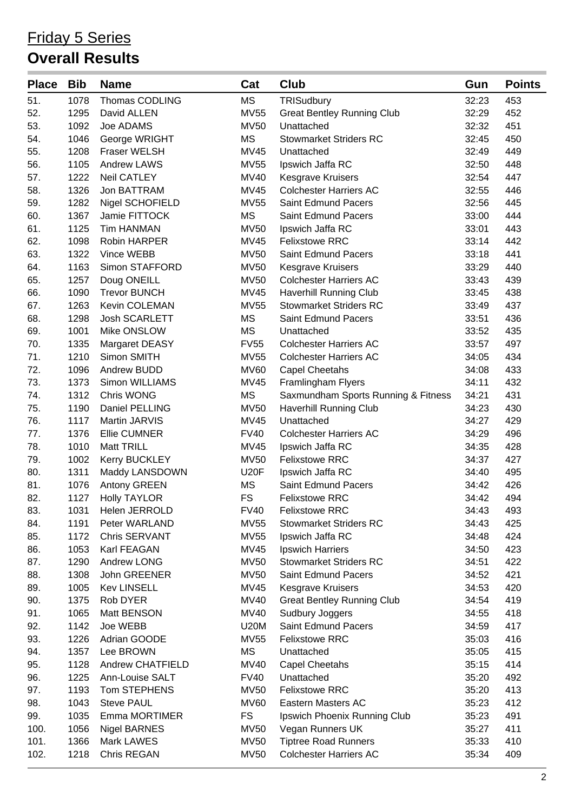| <b>Place</b> | <b>Bib</b> | <b>Name</b>             | Cat         | <b>Club</b>                         | Gun   | <b>Points</b> |
|--------------|------------|-------------------------|-------------|-------------------------------------|-------|---------------|
| 51.          | 1078       | <b>Thomas CODLING</b>   | <b>MS</b>   | TRISudbury                          | 32:23 | 453           |
| 52.          | 1295       | David ALLEN             | <b>MV55</b> | <b>Great Bentley Running Club</b>   | 32:29 | 452           |
| 53.          | 1092       | Joe ADAMS               | <b>MV50</b> | Unattached                          | 32:32 | 451           |
| 54.          | 1046       | George WRIGHT           | <b>MS</b>   | <b>Stowmarket Striders RC</b>       | 32:45 | 450           |
| 55.          | 1208       | <b>Fraser WELSH</b>     | <b>MV45</b> | Unattached                          | 32:49 | 449           |
| 56.          | 1105       | <b>Andrew LAWS</b>      | <b>MV55</b> | Ipswich Jaffa RC                    | 32:50 | 448           |
| 57.          | 1222       | Neil CATLEY             | <b>MV40</b> | Kesgrave Kruisers                   | 32:54 | 447           |
| 58.          | 1326       | Jon BATTRAM             | <b>MV45</b> | <b>Colchester Harriers AC</b>       | 32:55 | 446           |
| 59.          | 1282       | Nigel SCHOFIELD         | <b>MV55</b> | <b>Saint Edmund Pacers</b>          | 32:56 | 445           |
| 60.          | 1367       | Jamie FITTOCK           | <b>MS</b>   | Saint Edmund Pacers                 | 33:00 | 444           |
| 61.          | 1125       | <b>Tim HANMAN</b>       | <b>MV50</b> | Ipswich Jaffa RC                    | 33:01 | 443           |
| 62.          | 1098       | Robin HARPER            | <b>MV45</b> | <b>Felixstowe RRC</b>               | 33:14 | 442           |
| 63.          | 1322       | Vince WEBB              | <b>MV50</b> | Saint Edmund Pacers                 | 33:18 | 441           |
| 64.          | 1163       | Simon STAFFORD          | <b>MV50</b> | <b>Kesgrave Kruisers</b>            | 33:29 | 440           |
| 65.          | 1257       | Doug ONEILL             | <b>MV50</b> | <b>Colchester Harriers AC</b>       | 33:43 | 439           |
| 66.          | 1090       | <b>Trevor BUNCH</b>     | <b>MV45</b> | Haverhill Running Club              | 33:45 | 438           |
| 67.          | 1263       | Kevin COLEMAN           | <b>MV55</b> | <b>Stowmarket Striders RC</b>       | 33:49 | 437           |
| 68.          | 1298       | <b>Josh SCARLETT</b>    | MS          | <b>Saint Edmund Pacers</b>          | 33:51 | 436           |
| 69.          | 1001       | Mike ONSLOW             | <b>MS</b>   | Unattached                          | 33:52 | 435           |
| 70.          | 1335       | Margaret DEASY          | <b>FV55</b> | <b>Colchester Harriers AC</b>       | 33:57 | 497           |
| 71.          | 1210       | Simon SMITH             | <b>MV55</b> | <b>Colchester Harriers AC</b>       | 34:05 | 434           |
| 72.          | 1096       | Andrew BUDD             | <b>MV60</b> | <b>Capel Cheetahs</b>               | 34:08 | 433           |
| 73.          | 1373       | Simon WILLIAMS          | <b>MV45</b> | Framlingham Flyers                  | 34:11 | 432           |
| 74.          | 1312       | Chris WONG              | <b>MS</b>   | Saxmundham Sports Running & Fitness | 34:21 | 431           |
| 75.          | 1190       | Daniel PELLING          | <b>MV50</b> | Haverhill Running Club              | 34:23 | 430           |
| 76.          | 1117       | Martin JARVIS           | <b>MV45</b> | Unattached                          | 34:27 | 429           |
| 77.          | 1376       | <b>Ellie CUMNER</b>     | <b>FV40</b> | <b>Colchester Harriers AC</b>       | 34:29 | 496           |
| 78.          | 1010       | <b>Matt TRILL</b>       | <b>MV45</b> | Ipswich Jaffa RC                    | 34:35 | 428           |
| 79.          | 1002       | <b>Kerry BUCKLEY</b>    | <b>MV50</b> | <b>Felixstowe RRC</b>               | 34:37 | 427           |
| 80.          | 1311       | Maddy LANSDOWN          | <b>U20F</b> | Ipswich Jaffa RC                    | 34:40 | 495           |
| 81.          | 1076       | Antony GREEN            | MS          | <b>Saint Edmund Pacers</b>          | 34:42 | 426           |
| 82.          | 1127       | <b>Holly TAYLOR</b>     | <b>FS</b>   | <b>Felixstowe RRC</b>               | 34:42 | 494           |
| 83.          | 1031       | Helen JERROLD           | <b>FV40</b> | <b>Felixstowe RRC</b>               | 34:43 | 493           |
| 84.          | 1191       | Peter WARLAND           | <b>MV55</b> | <b>Stowmarket Striders RC</b>       | 34:43 | 425           |
| 85.          | 1172       | Chris SERVANT           | <b>MV55</b> | Ipswich Jaffa RC                    | 34:48 | 424           |
| 86.          | 1053       | Karl FEAGAN             | <b>MV45</b> | Ipswich Harriers                    | 34:50 | 423           |
| 87.          | 1290       | Andrew LONG             | <b>MV50</b> | <b>Stowmarket Striders RC</b>       | 34:51 | 422           |
| 88.          | 1308       | John GREENER            | <b>MV50</b> | Saint Edmund Pacers                 | 34:52 | 421           |
| 89.          | 1005       | <b>Kev LINSELL</b>      | <b>MV45</b> | <b>Kesgrave Kruisers</b>            | 34:53 | 420           |
| 90.          | 1375       | Rob DYER                | <b>MV40</b> | <b>Great Bentley Running Club</b>   | 34:54 | 419           |
| 91.          | 1065       | Matt BENSON             | <b>MV40</b> | Sudbury Joggers                     | 34:55 | 418           |
| 92.          | 1142       | Joe WEBB                | <b>U20M</b> | <b>Saint Edmund Pacers</b>          | 34:59 | 417           |
| 93.          | 1226       | Adrian GOODE            | <b>MV55</b> | <b>Felixstowe RRC</b>               | 35:03 | 416           |
| 94.          | 1357       | Lee BROWN               | MS          | Unattached                          | 35:05 | 415           |
| 95.          | 1128       | <b>Andrew CHATFIELD</b> | <b>MV40</b> | <b>Capel Cheetahs</b>               | 35:15 | 414           |
| 96.          | 1225       | Ann-Louise SALT         | <b>FV40</b> | Unattached                          | 35:20 | 492           |
| 97.          | 1193       | Tom STEPHENS            | <b>MV50</b> | <b>Felixstowe RRC</b>               | 35:20 | 413           |
| 98.          | 1043       | <b>Steve PAUL</b>       | <b>MV60</b> | Eastern Masters AC                  | 35:23 | 412           |
| 99.          | 1035       | Emma MORTIMER           | <b>FS</b>   | Ipswich Phoenix Running Club        | 35:23 | 491           |
| 100.         | 1056       | <b>Nigel BARNES</b>     | <b>MV50</b> | Vegan Runners UK                    | 35:27 | 411           |
| 101.         | 1366       | Mark LAWES              | <b>MV50</b> | <b>Tiptree Road Runners</b>         | 35:33 | 410           |
| 102.         | 1218       | Chris REGAN             | <b>MV50</b> | <b>Colchester Harriers AC</b>       | 35:34 | 409           |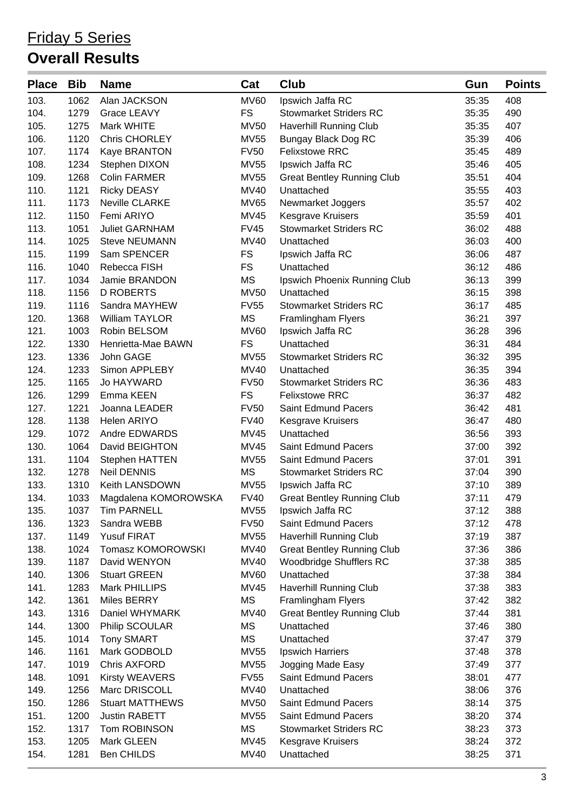| <b>Place</b> | <b>Bib</b> | <b>Name</b>            | Cat         | <b>Club</b>                       | Gun   | <b>Points</b> |
|--------------|------------|------------------------|-------------|-----------------------------------|-------|---------------|
| 103.         | 1062       | Alan JACKSON           | <b>MV60</b> | Ipswich Jaffa RC                  | 35:35 | 408           |
| 104.         | 1279       | Grace LEAVY            | <b>FS</b>   | <b>Stowmarket Striders RC</b>     | 35:35 | 490           |
| 105.         | 1275       | Mark WHITE             | <b>MV50</b> | <b>Haverhill Running Club</b>     | 35:35 | 407           |
| 106.         | 1120       | <b>Chris CHORLEY</b>   | <b>MV55</b> | Bungay Black Dog RC               | 35:39 | 406           |
| 107.         | 1174       | Kaye BRANTON           | <b>FV50</b> | <b>Felixstowe RRC</b>             | 35:45 | 489           |
| 108.         | 1234       | Stephen DIXON          | <b>MV55</b> | Ipswich Jaffa RC                  | 35:46 | 405           |
| 109.         | 1268       | <b>Colin FARMER</b>    | <b>MV55</b> | <b>Great Bentley Running Club</b> | 35:51 | 404           |
| 110.         | 1121       | <b>Ricky DEASY</b>     | <b>MV40</b> | Unattached                        | 35:55 | 403           |
| 111.         | 1173       | Neville CLARKE         | <b>MV65</b> | Newmarket Joggers                 | 35:57 | 402           |
| 112.         | 1150       | Femi ARIYO             | <b>MV45</b> | <b>Kesgrave Kruisers</b>          | 35:59 | 401           |
| 113.         | 1051       | <b>Juliet GARNHAM</b>  | <b>FV45</b> | <b>Stowmarket Striders RC</b>     | 36:02 | 488           |
| 114.         | 1025       | <b>Steve NEUMANN</b>   | <b>MV40</b> | Unattached                        | 36:03 | 400           |
| 115.         | 1199       | Sam SPENCER            | <b>FS</b>   | Ipswich Jaffa RC                  | 36:06 | 487           |
| 116.         | 1040       | Rebecca FISH           | <b>FS</b>   | Unattached                        | 36:12 | 486           |
| 117.         | 1034       | Jamie BRANDON          | <b>MS</b>   | Ipswich Phoenix Running Club      | 36:13 | 399           |
| 118.         | 1156       | <b>D ROBERTS</b>       | <b>MV50</b> | Unattached                        | 36:15 | 398           |
| 119.         | 1116       | Sandra MAYHEW          | <b>FV55</b> | <b>Stowmarket Striders RC</b>     | 36:17 | 485           |
| 120.         | 1368       | <b>William TAYLOR</b>  | <b>MS</b>   | Framlingham Flyers                | 36:21 | 397           |
| 121.         | 1003       | Robin BELSOM           | <b>MV60</b> | Ipswich Jaffa RC                  | 36:28 | 396           |
| 122.         | 1330       | Henrietta-Mae BAWN     | <b>FS</b>   | Unattached                        | 36:31 | 484           |
| 123.         | 1336       | John GAGE              | <b>MV55</b> | <b>Stowmarket Striders RC</b>     | 36:32 | 395           |
| 124.         | 1233       | Simon APPLEBY          | <b>MV40</b> | Unattached                        | 36:35 | 394           |
| 125.         | 1165       | Jo HAYWARD             | <b>FV50</b> | <b>Stowmarket Striders RC</b>     | 36:36 | 483           |
| 126.         | 1299       | Emma KEEN              | <b>FS</b>   | <b>Felixstowe RRC</b>             | 36:37 | 482           |
| 127.         | 1221       | Joanna LEADER          | <b>FV50</b> | Saint Edmund Pacers               | 36:42 | 481           |
| 128.         | 1138       | Helen ARIYO            | <b>FV40</b> | Kesgrave Kruisers                 | 36:47 | 480           |
| 129.         | 1072       | Andre EDWARDS          | <b>MV45</b> | Unattached                        | 36:56 | 393           |
| 130.         | 1064       | David BEIGHTON         | <b>MV45</b> | <b>Saint Edmund Pacers</b>        | 37:00 | 392           |
| 131.         | 1104       | Stephen HATTEN         | <b>MV55</b> | <b>Saint Edmund Pacers</b>        | 37:01 | 391           |
| 132.         | 1278       | <b>Neil DENNIS</b>     | <b>MS</b>   | <b>Stowmarket Striders RC</b>     | 37:04 | 390           |
| 133.         | 1310       | Keith LANSDOWN         | <b>MV55</b> | Ipswich Jaffa RC                  | 37:10 | 389           |
| 134.         | 1033       | Magdalena KOMOROWSKA   | <b>FV40</b> | <b>Great Bentley Running Club</b> | 37:11 | 479           |
| 135.         | 1037       | <b>Tim PARNELL</b>     | <b>MV55</b> | Ipswich Jaffa RC                  | 37:12 | 388           |
| 136.         | 1323       | Sandra WEBB            | <b>FV50</b> | Saint Edmund Pacers               | 37:12 | 478           |
| 137.         | 1149       | <b>Yusuf FIRAT</b>     | <b>MV55</b> | Haverhill Running Club            | 37:19 | 387           |
| 138.         | 1024       | Tomasz KOMOROWSKI      | MV40        | <b>Great Bentley Running Club</b> | 37:36 | 386           |
| 139.         | 1187       | David WENYON           | <b>MV40</b> | Woodbridge Shufflers RC           | 37:38 | 385           |
| 140.         | 1306       | <b>Stuart GREEN</b>    | <b>MV60</b> | Unattached                        | 37:38 | 384           |
| 141.         | 1283       | Mark PHILLIPS          | <b>MV45</b> | Haverhill Running Club            | 37:38 | 383           |
| 142.         | 1361       | Miles BERRY            | <b>MS</b>   | Framlingham Flyers                | 37:42 | 382           |
| 143.         | 1316       | Daniel WHYMARK         | <b>MV40</b> | <b>Great Bentley Running Club</b> | 37:44 | 381           |
| 144.         | 1300       | Philip SCOULAR         | <b>MS</b>   | Unattached                        | 37:46 | 380           |
| 145.         | 1014       | <b>Tony SMART</b>      | <b>MS</b>   | Unattached                        | 37:47 | 379           |
| 146.         | 1161       | Mark GODBOLD           | <b>MV55</b> | Ipswich Harriers                  | 37:48 | 378           |
| 147.         | 1019       | Chris AXFORD           | <b>MV55</b> | Jogging Made Easy                 | 37:49 | 377           |
| 148.         | 1091       | <b>Kirsty WEAVERS</b>  | <b>FV55</b> | <b>Saint Edmund Pacers</b>        | 38:01 | 477           |
| 149.         | 1256       | Marc DRISCOLL          | MV40        | Unattached                        | 38:06 | 376           |
| 150.         | 1286       | <b>Stuart MATTHEWS</b> | <b>MV50</b> | Saint Edmund Pacers               | 38:14 | 375           |
| 151.         | 1200       | Justin RABETT          | <b>MV55</b> | <b>Saint Edmund Pacers</b>        | 38:20 | 374           |
| 152.         | 1317       | Tom ROBINSON           | <b>MS</b>   | <b>Stowmarket Striders RC</b>     | 38:23 | 373           |
| 153.         | 1205       | Mark GLEEN             | <b>MV45</b> | Kesgrave Kruisers                 | 38:24 | 372           |
| 154.         | 1281       | Ben CHILDS             | MV40        | Unattached                        | 38:25 | 371           |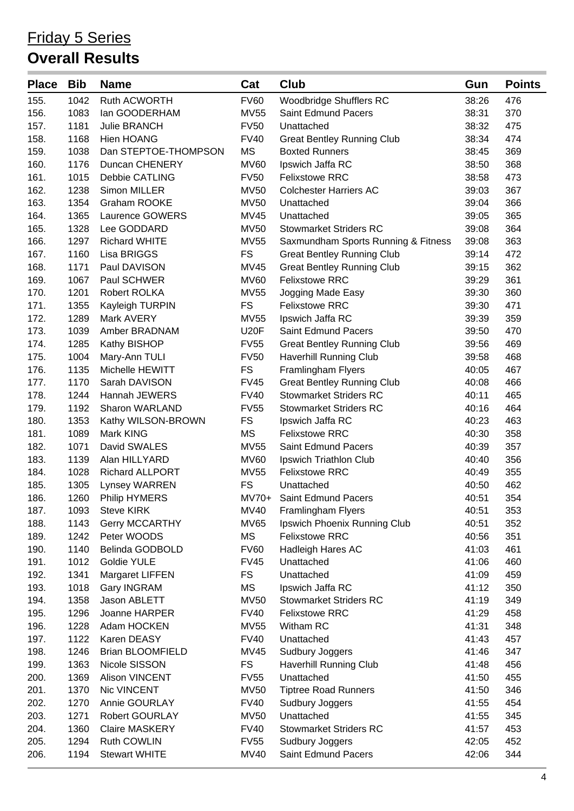| <b>Place</b> | <b>Bib</b> | <b>Name</b>             | Cat         | Club                                | Gun   | <b>Points</b> |
|--------------|------------|-------------------------|-------------|-------------------------------------|-------|---------------|
| 155.         | 1042       | Ruth ACWORTH            | <b>FV60</b> | Woodbridge Shufflers RC             | 38:26 | 476           |
| 156.         | 1083       | lan GOODERHAM           | <b>MV55</b> | Saint Edmund Pacers                 | 38:31 | 370           |
| 157.         | 1181       | <b>Julie BRANCH</b>     | <b>FV50</b> | Unattached                          | 38:32 | 475           |
| 158.         | 1168       | <b>Hien HOANG</b>       | <b>FV40</b> | <b>Great Bentley Running Club</b>   | 38:34 | 474           |
| 159.         | 1038       | Dan STEPTOE-THOMPSON    | <b>MS</b>   | <b>Boxted Runners</b>               | 38:45 | 369           |
| 160.         | 1176       | Duncan CHENERY          | <b>MV60</b> | Ipswich Jaffa RC                    | 38:50 | 368           |
| 161.         | 1015       | Debbie CATLING          | <b>FV50</b> | <b>Felixstowe RRC</b>               | 38:58 | 473           |
| 162.         | 1238       | Simon MILLER            | <b>MV50</b> | <b>Colchester Harriers AC</b>       | 39:03 | 367           |
| 163.         | 1354       | Graham ROOKE            | <b>MV50</b> | Unattached                          | 39:04 | 366           |
| 164.         | 1365       | Laurence GOWERS         | <b>MV45</b> | Unattached                          | 39:05 | 365           |
| 165.         | 1328       | Lee GODDARD             | <b>MV50</b> | <b>Stowmarket Striders RC</b>       | 39:08 | 364           |
| 166.         | 1297       | <b>Richard WHITE</b>    | <b>MV55</b> | Saxmundham Sports Running & Fitness | 39:08 | 363           |
| 167.         | 1160       | Lisa BRIGGS             | <b>FS</b>   | <b>Great Bentley Running Club</b>   | 39:14 | 472           |
| 168.         | 1171       | Paul DAVISON            | <b>MV45</b> | <b>Great Bentley Running Club</b>   | 39:15 | 362           |
| 169.         | 1067       | Paul SCHWER             | <b>MV60</b> | <b>Felixstowe RRC</b>               | 39:29 | 361           |
| 170.         | 1201       | Robert ROLKA            | <b>MV55</b> | Jogging Made Easy                   | 39:30 | 360           |
| 171.         | 1355       | Kayleigh TURPIN         | <b>FS</b>   | <b>Felixstowe RRC</b>               | 39:30 | 471           |
| 172.         | 1289       | Mark AVERY              | <b>MV55</b> | Ipswich Jaffa RC                    | 39:39 | 359           |
| 173.         | 1039       | Amber BRADNAM           | <b>U20F</b> | Saint Edmund Pacers                 | 39:50 | 470           |
| 174.         | 1285       | Kathy BISHOP            | <b>FV55</b> | <b>Great Bentley Running Club</b>   | 39:56 | 469           |
| 175.         | 1004       | Mary-Ann TULI           | <b>FV50</b> | Haverhill Running Club              | 39:58 | 468           |
| 176.         | 1135       | Michelle HEWITT         | <b>FS</b>   | Framlingham Flyers                  | 40:05 | 467           |
| 177.         | 1170       | Sarah DAVISON           | <b>FV45</b> | <b>Great Bentley Running Club</b>   | 40:08 | 466           |
| 178.         | 1244       | Hannah JEWERS           | <b>FV40</b> | <b>Stowmarket Striders RC</b>       | 40:11 | 465           |
| 179.         | 1192       | Sharon WARLAND          | <b>FV55</b> | <b>Stowmarket Striders RC</b>       | 40:16 | 464           |
| 180.         | 1353       | Kathy WILSON-BROWN      | <b>FS</b>   | Ipswich Jaffa RC                    | 40:23 | 463           |
| 181.         | 1089       | Mark KING               | <b>MS</b>   | <b>Felixstowe RRC</b>               | 40:30 | 358           |
| 182.         | 1071       | David SWALES            | <b>MV55</b> | Saint Edmund Pacers                 | 40:39 | 357           |
| 183.         | 1139       | Alan HILLYARD           | <b>MV60</b> | Ipswich Triathlon Club              | 40:40 | 356           |
| 184.         | 1028       | Richard ALLPORT         | <b>MV55</b> | <b>Felixstowe RRC</b>               | 40:49 | 355           |
| 185.         | 1305       | Lynsey WARREN           | <b>FS</b>   | Unattached                          | 40:50 | 462           |
| 186.         | 1260       | Philip HYMERS           | $MV70+$     | Saint Edmund Pacers                 | 40:51 | 354           |
| 187.         | 1093       | <b>Steve KIRK</b>       | <b>MV40</b> | Framlingham Flyers                  | 40:51 | 353           |
| 188.         | 1143       | <b>Gerry MCCARTHY</b>   | <b>MV65</b> | Ipswich Phoenix Running Club        | 40:51 | 352           |
| 189.         | 1242       | Peter WOODS             | MS          | <b>Felixstowe RRC</b>               | 40:56 | 351           |
| 190.         | 1140       | Belinda GODBOLD         | <b>FV60</b> | Hadleigh Hares AC                   | 41:03 | 461           |
| 191.         | 1012       | Goldie YULE             | <b>FV45</b> | Unattached                          | 41:06 | 460           |
| 192.         | 1341       | Margaret LIFFEN         | <b>FS</b>   | Unattached                          | 41:09 | 459           |
| 193.         | 1018       | Gary INGRAM             | MS          | Ipswich Jaffa RC                    | 41:12 | 350           |
| 194.         | 1358       | Jason ABLETT            | <b>MV50</b> | <b>Stowmarket Striders RC</b>       | 41:19 | 349           |
| 195.         | 1296       | Joanne HARPER           | <b>FV40</b> | <b>Felixstowe RRC</b>               | 41:29 | 458           |
| 196.         | 1228       | Adam HOCKEN             | <b>MV55</b> | Witham RC                           | 41:31 | 348           |
| 197.         | 1122       | Karen DEASY             | <b>FV40</b> | Unattached                          | 41:43 | 457           |
| 198.         | 1246       | <b>Brian BLOOMFIELD</b> | <b>MV45</b> | Sudbury Joggers                     | 41:46 | 347           |
| 199.         | 1363       | Nicole SISSON           | <b>FS</b>   | Haverhill Running Club              | 41:48 | 456           |
| 200.         | 1369       | <b>Alison VINCENT</b>   | <b>FV55</b> | Unattached                          | 41:50 | 455           |
| 201.         | 1370       | Nic VINCENT             | <b>MV50</b> | <b>Tiptree Road Runners</b>         | 41:50 | 346           |
| 202.         | 1270       | Annie GOURLAY           | <b>FV40</b> | Sudbury Joggers                     | 41:55 | 454           |
| 203.         | 1271       | Robert GOURLAY          | <b>MV50</b> | Unattached                          | 41:55 | 345           |
| 204.         | 1360       | <b>Claire MASKERY</b>   | <b>FV40</b> | <b>Stowmarket Striders RC</b>       | 41:57 | 453           |
| 205.         | 1294       | Ruth COWLIN             | <b>FV55</b> | Sudbury Joggers                     | 42:05 | 452           |
| 206.         | 1194       | <b>Stewart WHITE</b>    | <b>MV40</b> | Saint Edmund Pacers                 | 42:06 | 344           |
|              |            |                         |             |                                     |       |               |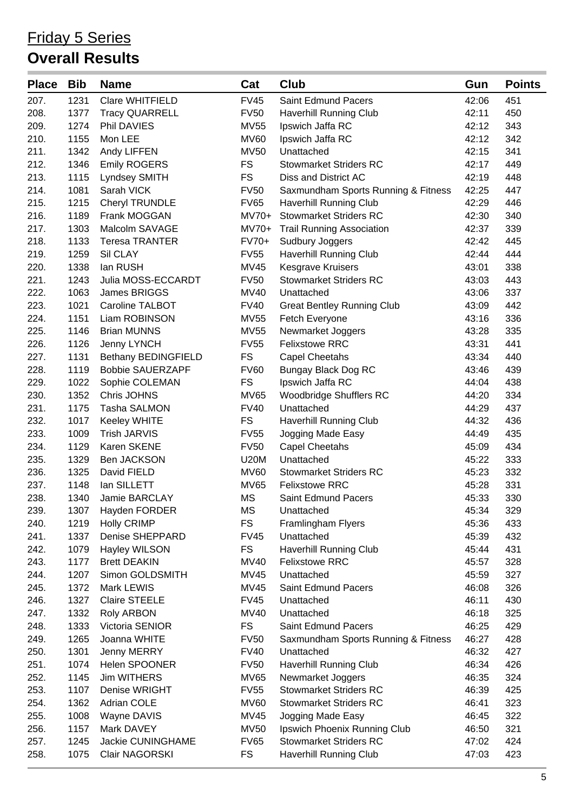| <b>Place</b> | <b>Bib</b> | <b>Name</b>                | Cat         | Club                                | Gun   | <b>Points</b> |
|--------------|------------|----------------------------|-------------|-------------------------------------|-------|---------------|
| 207.         | 1231       | Clare WHITFIELD            | <b>FV45</b> | <b>Saint Edmund Pacers</b>          | 42:06 | 451           |
| 208.         | 1377       | <b>Tracy QUARRELL</b>      | <b>FV50</b> | Haverhill Running Club              | 42:11 | 450           |
| 209.         | 1274       | Phil DAVIES                | <b>MV55</b> | Ipswich Jaffa RC                    | 42:12 | 343           |
| 210.         | 1155       | Mon LEE                    | <b>MV60</b> | Ipswich Jaffa RC                    | 42:12 | 342           |
| 211.         | 1342       | Andy LIFFEN                | <b>MV50</b> | Unattached                          | 42:15 | 341           |
| 212.         | 1346       | <b>Emily ROGERS</b>        | <b>FS</b>   | <b>Stowmarket Striders RC</b>       | 42:17 | 449           |
| 213.         | 1115       | Lyndsey SMITH              | <b>FS</b>   | Diss and District AC                | 42:19 | 448           |
| 214.         | 1081       | Sarah VICK                 | <b>FV50</b> | Saxmundham Sports Running & Fitness | 42:25 | 447           |
| 215.         | 1215       | Cheryl TRUNDLE             | <b>FV65</b> | <b>Haverhill Running Club</b>       | 42:29 | 446           |
| 216.         | 1189       | Frank MOGGAN               | $MV70+$     | <b>Stowmarket Striders RC</b>       | 42:30 | 340           |
| 217.         | 1303       | Malcolm SAVAGE             | $MV70+$     | <b>Trail Running Association</b>    | 42:37 | 339           |
| 218.         | 1133       | <b>Teresa TRANTER</b>      | FV70+       | Sudbury Joggers                     | 42:42 | 445           |
| 219.         | 1259       | Sil CLAY                   | <b>FV55</b> | <b>Haverhill Running Club</b>       | 42:44 | 444           |
| 220.         | 1338       | lan RUSH                   | <b>MV45</b> | <b>Kesgrave Kruisers</b>            | 43:01 | 338           |
| 221.         | 1243       | Julia MOSS-ECCARDT         | <b>FV50</b> | <b>Stowmarket Striders RC</b>       | 43:03 | 443           |
| 222.         | 1063       | James BRIGGS               | <b>MV40</b> | Unattached                          | 43:06 | 337           |
| 223.         | 1021       | Caroline TALBOT            | <b>FV40</b> | <b>Great Bentley Running Club</b>   | 43:09 | 442           |
| 224.         | 1151       | Liam ROBINSON              | <b>MV55</b> | Fetch Everyone                      | 43:16 | 336           |
| 225.         | 1146       | <b>Brian MUNNS</b>         | <b>MV55</b> | Newmarket Joggers                   | 43:28 | 335           |
| 226.         | 1126       | Jenny LYNCH                | <b>FV55</b> | <b>Felixstowe RRC</b>               | 43:31 | 441           |
| 227.         | 1131       | <b>Bethany BEDINGFIELD</b> | <b>FS</b>   | Capel Cheetahs                      | 43:34 | 440           |
| 228.         | 1119       | <b>Bobbie SAUERZAPF</b>    | <b>FV60</b> | Bungay Black Dog RC                 | 43:46 | 439           |
| 229.         | 1022       | Sophie COLEMAN             | <b>FS</b>   | Ipswich Jaffa RC                    | 44:04 | 438           |
| 230.         | 1352       | Chris JOHNS                | <b>MV65</b> | Woodbridge Shufflers RC             | 44:20 | 334           |
| 231.         | 1175       | <b>Tasha SALMON</b>        | <b>FV40</b> | Unattached                          | 44:29 | 437           |
| 232.         | 1017       | Keeley WHITE               | <b>FS</b>   | Haverhill Running Club              | 44:32 | 436           |
| 233.         | 1009       | <b>Trish JARVIS</b>        | <b>FV55</b> | Jogging Made Easy                   | 44:49 | 435           |
| 234.         | 1129       | Karen SKENE                | <b>FV50</b> | <b>Capel Cheetahs</b>               | 45:09 | 434           |
| 235.         | 1329       | Ben JACKSON                | <b>U20M</b> | Unattached                          | 45:22 | 333           |
| 236.         | 1325       | David FIELD                | <b>MV60</b> | <b>Stowmarket Striders RC</b>       | 45:23 | 332           |
| 237.         | 1148       | lan SILLETT                | <b>MV65</b> | <b>Felixstowe RRC</b>               | 45:28 | 331           |
| 238.         | 1340       | Jamie BARCLAY              | <b>MS</b>   | <b>Saint Edmund Pacers</b>          | 45:33 | 330           |
| 239.         | 1307       | Hayden FORDER              | <b>MS</b>   | Unattached                          | 45:34 | 329           |
| 240.         | 1219       | <b>Holly CRIMP</b>         | <b>FS</b>   | Framlingham Flyers                  | 45:36 | 433           |
| 241.         | 1337       | Denise SHEPPARD            | <b>FV45</b> | Unattached                          | 45:39 | 432           |
| 242.         | 1079       | Hayley WILSON              | <b>FS</b>   | <b>Haverhill Running Club</b>       | 45:44 | 431           |
| 243.         | 1177       | <b>Brett DEAKIN</b>        | <b>MV40</b> | <b>Felixstowe RRC</b>               | 45:57 | 328           |
| 244.         | 1207       | Simon GOLDSMITH            | <b>MV45</b> | Unattached                          | 45:59 | 327           |
| 245.         | 1372       | Mark LEWIS                 | <b>MV45</b> | Saint Edmund Pacers                 | 46:08 | 326           |
| 246.         | 1327       | <b>Claire STEELE</b>       | <b>FV45</b> | Unattached                          | 46:11 | 430           |
| 247.         | 1332       | Roly ARBON                 | <b>MV40</b> | Unattached                          | 46:18 | 325           |
| 248.         | 1333       | Victoria SENIOR            | <b>FS</b>   | Saint Edmund Pacers                 | 46:25 | 429           |
| 249.         | 1265       | Joanna WHITE               | <b>FV50</b> | Saxmundham Sports Running & Fitness | 46:27 | 428           |
| 250.         | 1301       | Jenny MERRY                | <b>FV40</b> | Unattached                          | 46:32 | 427           |
| 251.         | 1074       | Helen SPOONER              | <b>FV50</b> | <b>Haverhill Running Club</b>       | 46:34 | 426           |
| 252.         | 1145       | Jim WITHERS                | <b>MV65</b> | Newmarket Joggers                   | 46:35 | 324           |
| 253.         | 1107       | Denise WRIGHT              | <b>FV55</b> | <b>Stowmarket Striders RC</b>       | 46:39 | 425           |
| 254.         | 1362       | <b>Adrian COLE</b>         | <b>MV60</b> | <b>Stowmarket Striders RC</b>       | 46:41 | 323           |
| 255.         | 1008       | Wayne DAVIS                | <b>MV45</b> | Jogging Made Easy                   | 46:45 | 322           |
| 256.         | 1157       | Mark DAVEY                 | <b>MV50</b> | Ipswich Phoenix Running Club        | 46:50 | 321           |
| 257.         | 1245       | Jackie CUNINGHAME          | <b>FV65</b> | <b>Stowmarket Striders RC</b>       | 47:02 | 424           |
| 258.         | 1075       | Clair NAGORSKI             | <b>FS</b>   | Haverhill Running Club              | 47:03 | 423           |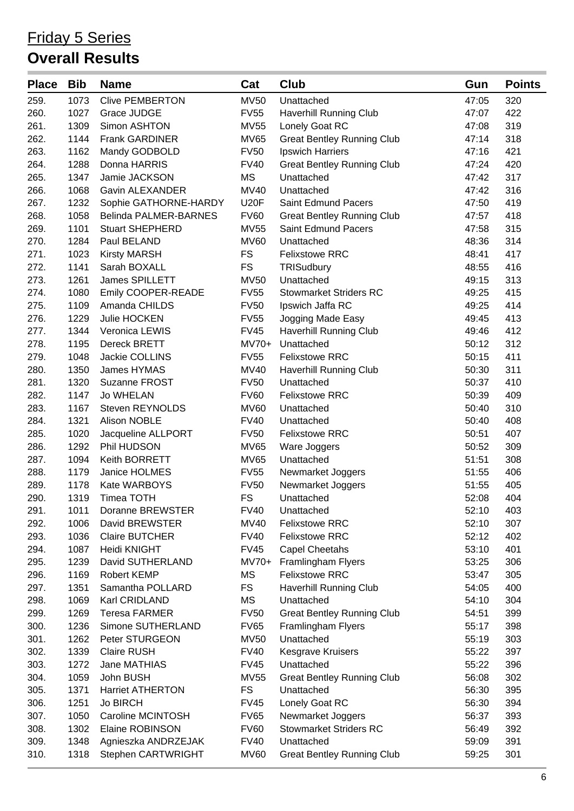| <b>Place</b> | <b>Bib</b> | <b>Name</b>             | Cat         | Club                              | Gun   | <b>Points</b> |
|--------------|------------|-------------------------|-------------|-----------------------------------|-------|---------------|
| 259.         | 1073       | <b>Clive PEMBERTON</b>  | <b>MV50</b> | Unattached                        | 47:05 | 320           |
| 260.         | 1027       | Grace JUDGE             | <b>FV55</b> | <b>Haverhill Running Club</b>     | 47:07 | 422           |
| 261.         | 1309       | Simon ASHTON            | <b>MV55</b> | Lonely Goat RC                    | 47:08 | 319           |
| 262.         | 1144       | Frank GARDINER          | <b>MV65</b> | <b>Great Bentley Running Club</b> | 47:14 | 318           |
| 263.         | 1162       | Mandy GODBOLD           | <b>FV50</b> | Ipswich Harriers                  | 47:16 | 421           |
| 264.         | 1288       | Donna HARRIS            | <b>FV40</b> | <b>Great Bentley Running Club</b> | 47:24 | 420           |
| 265.         | 1347       | Jamie JACKSON           | <b>MS</b>   | Unattached                        | 47:42 | 317           |
| 266.         | 1068       | Gavin ALEXANDER         | <b>MV40</b> | Unattached                        | 47:42 | 316           |
| 267.         | 1232       | Sophie GATHORNE-HARDY   | <b>U20F</b> | <b>Saint Edmund Pacers</b>        | 47:50 | 419           |
| 268.         | 1058       | Belinda PALMER-BARNES   | <b>FV60</b> | <b>Great Bentley Running Club</b> | 47:57 | 418           |
| 269.         | 1101       | <b>Stuart SHEPHERD</b>  | <b>MV55</b> | <b>Saint Edmund Pacers</b>        | 47:58 | 315           |
| 270.         | 1284       | Paul BELAND             | <b>MV60</b> | Unattached                        | 48:36 | 314           |
| 271.         | 1023       | <b>Kirsty MARSH</b>     | <b>FS</b>   | <b>Felixstowe RRC</b>             | 48:41 | 417           |
| 272.         | 1141       | Sarah BOXALL            | <b>FS</b>   | TRISudbury                        | 48:55 | 416           |
| 273.         | 1261       | James SPILLETT          | <b>MV50</b> | Unattached                        | 49:15 | 313           |
| 274.         | 1080       | Emily COOPER-READE      | <b>FV55</b> | <b>Stowmarket Striders RC</b>     | 49:25 | 415           |
| 275.         | 1109       | Amanda CHILDS           | <b>FV50</b> | Ipswich Jaffa RC                  | 49:25 | 414           |
| 276.         | 1229       | Julie HOCKEN            | <b>FV55</b> | Jogging Made Easy                 | 49:45 | 413           |
| 277.         | 1344       | Veronica LEWIS          | <b>FV45</b> | <b>Haverhill Running Club</b>     | 49:46 | 412           |
| 278.         | 1195       | Dereck BRETT            | $MV70+$     | Unattached                        | 50:12 | 312           |
| 279.         | 1048       | Jackie COLLINS          | <b>FV55</b> | <b>Felixstowe RRC</b>             | 50:15 | 411           |
| 280.         | 1350       | James HYMAS             | <b>MV40</b> | Haverhill Running Club            | 50:30 | 311           |
| 281.         | 1320       | Suzanne FROST           | <b>FV50</b> | Unattached                        | 50:37 | 410           |
| 282.         | 1147       | Jo WHELAN               | <b>FV60</b> | <b>Felixstowe RRC</b>             | 50:39 | 409           |
| 283.         | 1167       | Steven REYNOLDS         | <b>MV60</b> | Unattached                        | 50:40 | 310           |
| 284.         | 1321       | Alison NOBLE            | <b>FV40</b> | Unattached                        | 50:40 | 408           |
| 285.         | 1020       | Jacqueline ALLPORT      | <b>FV50</b> | <b>Felixstowe RRC</b>             | 50:51 | 407           |
| 286.         | 1292       | Phil HUDSON             | <b>MV65</b> | Ware Joggers                      | 50:52 | 309           |
| 287.         | 1094       | Keith BORRETT           | <b>MV65</b> | Unattached                        | 51:51 | 308           |
| 288.         | 1179       | Janice HOLMES           | <b>FV55</b> | Newmarket Joggers                 | 51:55 | 406           |
| 289.         | 1178       | Kate WARBOYS            | <b>FV50</b> | Newmarket Joggers                 | 51:55 | 405           |
| 290.         | 1319       | <b>Timea TOTH</b>       | <b>FS</b>   | Unattached                        | 52:08 | 404           |
| 291.         | 1011       | Doranne BREWSTER        | <b>FV40</b> | Unattached                        | 52:10 | 403           |
| 292.         | 1006       | David BREWSTER          | <b>MV40</b> | <b>Felixstowe RRC</b>             | 52:10 | 307           |
| 293.         | 1036       | <b>Claire BUTCHER</b>   | <b>FV40</b> | <b>Felixstowe RRC</b>             | 52:12 | 402           |
| 294.         | 1087       | Heidi KNIGHT            | <b>FV45</b> | <b>Capel Cheetahs</b>             | 53:10 | 401           |
| 295.         | 1239       | David SUTHERLAND        | $MV70+$     | Framlingham Flyers                | 53:25 | 306           |
| 296.         | 1169       | <b>Robert KEMP</b>      | <b>MS</b>   | <b>Felixstowe RRC</b>             | 53:47 | 305           |
| 297.         | 1351       | Samantha POLLARD        | <b>FS</b>   | <b>Haverhill Running Club</b>     | 54:05 | 400           |
| 298.         | 1069       | Karl CRIDLAND           | MS          | Unattached                        | 54:10 | 304           |
| 299.         | 1269       | <b>Teresa FARMER</b>    | <b>FV50</b> | <b>Great Bentley Running Club</b> | 54:51 | 399           |
| 300.         | 1236       | Simone SUTHERLAND       | <b>FV65</b> | Framlingham Flyers                | 55:17 | 398           |
| 301.         | 1262       | Peter STURGEON          | <b>MV50</b> | Unattached                        | 55:19 | 303           |
| 302.         | 1339       | <b>Claire RUSH</b>      | <b>FV40</b> | <b>Kesgrave Kruisers</b>          | 55:22 | 397           |
| 303.         | 1272       | Jane MATHIAS            | <b>FV45</b> | Unattached                        | 55:22 | 396           |
| 304.         | 1059       | John BUSH               | <b>MV55</b> | <b>Great Bentley Running Club</b> | 56:08 | 302           |
| 305.         | 1371       | <b>Harriet ATHERTON</b> | <b>FS</b>   | Unattached                        | 56:30 | 395           |
| 306.         | 1251       | <b>Jo BIRCH</b>         | <b>FV45</b> | Lonely Goat RC                    | 56:30 | 394           |
| 307.         | 1050       | Caroline MCINTOSH       | <b>FV65</b> | Newmarket Joggers                 | 56:37 | 393           |
| 308.         | 1302       | Elaine ROBINSON         | <b>FV60</b> | <b>Stowmarket Striders RC</b>     | 56:49 | 392           |
| 309.         | 1348       | Agnieszka ANDRZEJAK     | <b>FV40</b> | Unattached                        | 59:09 | 391           |
| 310.         | 1318       | Stephen CARTWRIGHT      | <b>MV60</b> | <b>Great Bentley Running Club</b> | 59:25 | 301           |